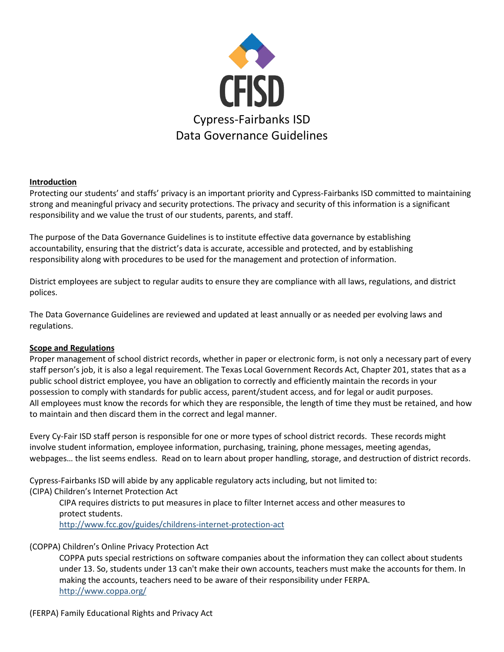

## **Introduction**

Protecting our students' and staffs' privacy is an important priority and Cypress-Fairbanks ISD committed to maintaining strong and meaningful privacy and security protections. The privacy and security of this information is a significant responsibility and we value the trust of our students, parents, and staff.

The purpose of the Data Governance Guidelines is to institute effective data governance by establishing accountability, ensuring that the district's data is accurate, accessible and protected, and by establishing responsibility along with procedures to be used for the management and protection of information.

District employees are subject to regular audits to ensure they are compliance with all laws, regulations, and district polices.

The Data Governance Guidelines are reviewed and updated at least annually or as needed per evolving laws and regulations.

# **Scope and Regulations**

Proper management of school district records, whether in paper or electronic form, is not only a necessary part of every staff person's job, it is also a legal requirement. The Texas Local Government Records Act, Chapter 201, states that as a public school district employee, you have an obligation to correctly and efficiently maintain the records in your possession to comply with standards for public access, parent/student access, and for legal or audit purposes. All employees must know the records for which they are responsible, the length of time they must be retained, and how to maintain and then discard them in the correct and legal manner.

Every Cy-Fair ISD staff person is responsible for one or more types of school district records. These records might involve student information, employee information, purchasing, training, phone messages, meeting agendas, webpages… the list seems endless. Read on to learn about proper handling, storage, and destruction of district records.

Cypress-Fairbanks ISD will abide by any applicable regulatory acts including, but not limited to:

(CIPA) Children's Internet Protection Act

CIPA requires districts to put measures in place to filter Internet access and other measures to protect students. <http://www.fcc.gov/guides/childrens-internet-protection-act>

# (COPPA) Children's Online Privacy Protection Act

COPPA puts special restrictions on software companies about the information they can collect about students under 13. So, students under 13 can't make their own accounts, teachers must make the accounts for them. In making the accounts, teachers need to be aware of their responsibility under FERPA. <http://www.coppa.org/>

## (FERPA) Family Educational Rights and Privacy Act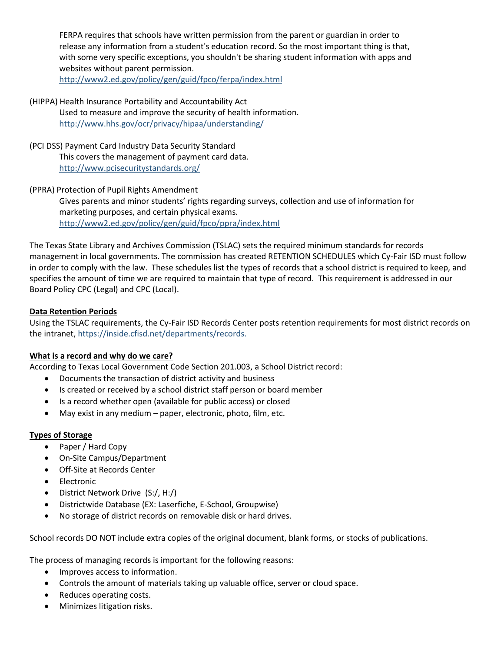FERPA requires that schools have written permission from the parent or guardian in order to release any information from a student's education record. So the most important thing is that, with some very specific exceptions, you shouldn't be sharing student information with apps and websites without parent permission.

<http://www2.ed.gov/policy/gen/guid/fpco/ferpa/index.html>

- (HIPPA) Health Insurance Portability and Accountability Act Used to measure and improve the security of health information. <http://www.hhs.gov/ocr/privacy/hipaa/understanding/>
- (PCI DSS) Payment Card Industry Data Security Standard This covers the management of payment card data. <http://www.pcisecuritystandards.org/>
- (PPRA) Protection of Pupil Rights Amendment Gives parents and minor students' rights regarding surveys, collection and use of information for marketing purposes, and certain physical exams. <http://www2.ed.gov/policy/gen/guid/fpco/ppra/index.html>

The Texas State Library and Archives Commission (TSLAC) sets the required minimum standards for records management in local governments. The commission has created RETENTION SCHEDULES which Cy-Fair ISD must follow in order to comply with the law. These schedules list the types of records that a school district is required to keep, and specifies the amount of time we are required to maintain that type of record. This requirement is addressed in our Board Policy CPC (Legal) and CPC (Local).

# **Data Retention Periods**

Using the TSLAC requirements, the Cy-Fair ISD Records Center posts retention requirements for most district records on the intranet, https://inside.cfisd.net/departments/records.

# **What is a record and why do we care?**

According to Texas Local Government Code Section 201.003, a School District record:

- Documents the transaction of district activity and business
- Is created or received by a school district staff person or board member
- Is a record whether open (available for public access) or closed
- May exist in any medium paper, electronic, photo, film, etc.

## **Types of Storage**

- Paper / Hard Copy
- On-Site Campus/Department
- Off-Site at Records Center
- Electronic
- District Network Drive (S:/, H:/)
- Districtwide Database (EX: Laserfiche, E-School, Groupwise)
- No storage of district records on removable disk or hard drives.

School records DO NOT include extra copies of the original document, blank forms, or stocks of publications.

The process of managing records is important for the following reasons:

- Improves access to information.
- Controls the amount of materials taking up valuable office, server or cloud space.
- Reduces operating costs.
- Minimizes litigation risks.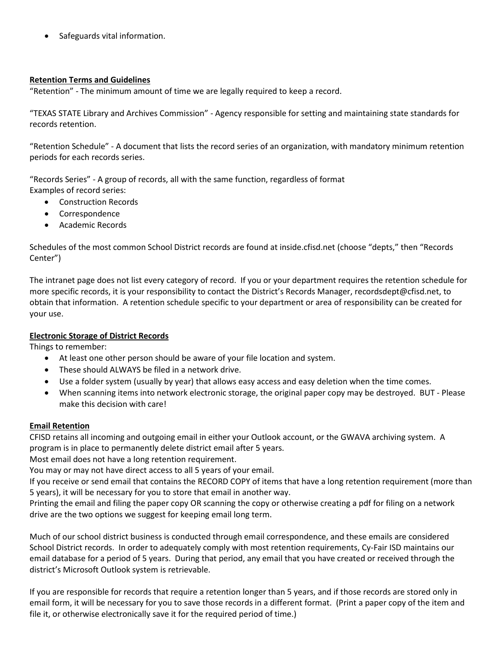Safeguards vital information.

## **Retention Terms and Guidelines**

"Retention" - The minimum amount of time we are legally required to keep a record.

"TEXAS STATE Library and Archives Commission" - Agency responsible for setting and maintaining state standards for records retention.

"Retention Schedule" - A document that lists the record series of an organization, with mandatory minimum retention periods for each records series.

"Records Series" - A group of records, all with the same function, regardless of format Examples of record series:

- Construction Records
- Correspondence
- Academic Records

Schedules of the most common School District records are found at inside.cfisd.net (choose "depts," then "Records Center")

The intranet page does not list every category of record. If you or your department requires the retention schedule for more specific records, it is your responsibility to contact the District's Records Manager, recordsdept@cfisd.net, to obtain that information. A retention schedule specific to your department or area of responsibility can be created for your use.

# **Electronic Storage of District Records**

Things to remember:

- At least one other person should be aware of your file location and system.
- These should ALWAYS be filed in a network drive.
- Use a folder system (usually by year) that allows easy access and easy deletion when the time comes.
- When scanning items into network electronic storage, the original paper copy may be destroyed. BUT Please make this decision with care!

# **Email Retention**

CFISD retains all incoming and outgoing email in either your Outlook account, or the GWAVA archiving system. A program is in place to permanently delete district email after 5 years.

Most email does not have a long retention requirement.

You may or may not have direct access to all 5 years of your email.

If you receive or send email that contains the RECORD COPY of items that have a long retention requirement (more than 5 years), it will be necessary for you to store that email in another way.

Printing the email and filing the paper copy OR scanning the copy or otherwise creating a pdf for filing on a network drive are the two options we suggest for keeping email long term.

Much of our school district business is conducted through email correspondence, and these emails are considered School District records. In order to adequately comply with most retention requirements, Cy-Fair ISD maintains our email database for a period of 5 years. During that period, any email that you have created or received through the district's Microsoft Outlook system is retrievable.

If you are responsible for records that require a retention longer than 5 years, and if those records are stored only in email form, it will be necessary for you to save those records in a different format. (Print a paper copy of the item and file it, or otherwise electronically save it for the required period of time.)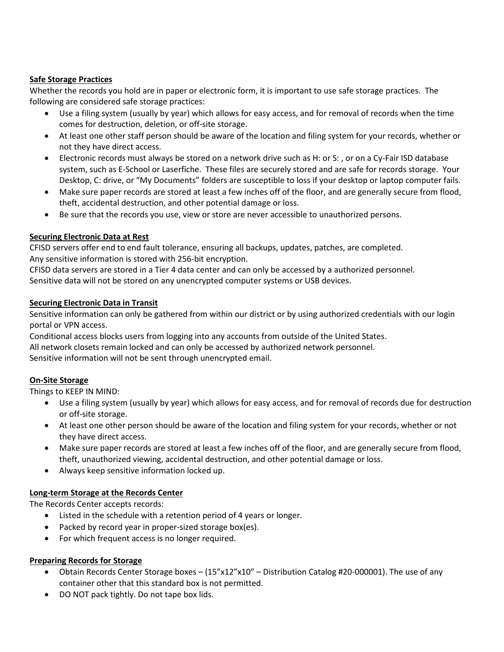# **Safe Storage Practices**

Whether the records you hold are in paper or electronic form, it is important to use safe storage practices. The following are considered safe storage practices:

- Use a filing system (usually by year) which allows for easy access, and for removal of records when the time comes for destruction, deletion, or off-site storage.
- At least one other staff person should be aware of the location and filing system for your records, whether or not they have direct access.
- Electronic records must always be stored on a network drive such as H: or S: , or on a Cy-Fair ISD database system, such as E-School or Laserfiche. These files are securely stored and are safe for records storage. Your Desktop, C: drive, or "My Documents" folders are susceptible to loss if your desktop or laptop computer fails.
- Make sure paper records are stored at least a few inches off of the floor, and are generally secure from flood, theft, accidental destruction, and other potential damage or loss.
- Be sure that the records you use, view or store are never accessible to unauthorized persons.

## **Securing Electronic Data at Rest**

CFISD servers offer end to end fault tolerance, ensuring all backups, updates, patches, are completed. Any sensitive information is stored with 256-bit encryption.

CFISD data servers are stored in a Tier 4 data center and can only be accessed by a authorized personnel. Sensitive data will not be stored on any unencrypted computer systems or USB devices.

## **Securing Electronic Data in Transit**

Sensitive information can only be gathered from within our district or by using authorized credentials with our login portal or VPN access.

Conditional access blocks users from logging into any accounts from outside of the United States.

All network closets remain locked and can only be accessed by authorized network personnel.

Sensitive information will not be sent through unencrypted email.

# **On-Site Storage**

Things to KEEP IN MIND:

- Use a filing system (usually by year) which allows for easy access, and for removal of records due for destruction or off-site storage.
- At least one other person should be aware of the location and filing system for your records, whether or not they have direct access.
- Make sure paper records are stored at least a few inches off of the floor, and are generally secure from flood, theft, unauthorized viewing, accidental destruction, and other potential damage or loss.
- Always keep sensitive information locked up.

## **Long-term Storage at the Records Center**

The Records Center accepts records:

- Listed in the schedule with a retention period of 4 years or longer.
- Packed by record year in proper-sized storage box(es).
- For which frequent access is no longer required.

## **Preparing Records for Storage**

- Obtain Records Center Storage boxes (15"x12"x10" Distribution Catalog #20-000001). The use of any container other that this standard box is not permitted.
- DO NOT pack tightly. Do not tape box lids.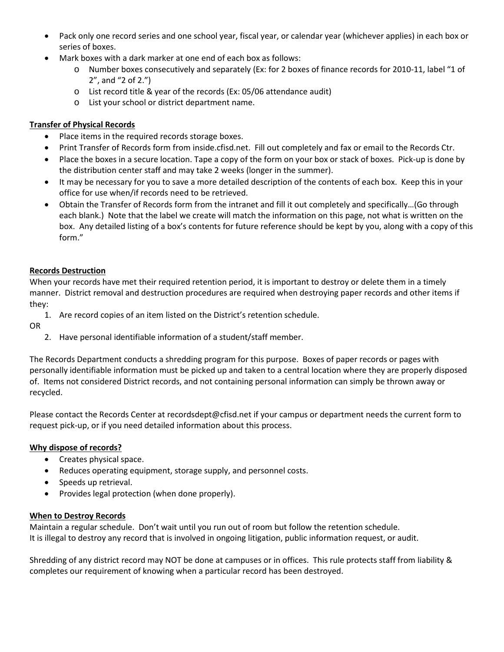- Pack only one record series and one school year, fiscal year, or calendar year (whichever applies) in each box or series of boxes.
- Mark boxes with a dark marker at one end of each box as follows:
	- o Number boxes consecutively and separately (Ex: for 2 boxes of finance records for 2010-11, label "1 of 2", and "2 of 2.")
	- o List record title & year of the records (Ex: 05/06 attendance audit)
	- o List your school or district department name.

## **Transfer of Physical Records**

- Place items in the required records storage boxes.
- Print Transfer of Records form from inside.cfisd.net. Fill out completely and fax or email to the Records Ctr.
- Place the boxes in a secure location. Tape a copy of the form on your box or stack of boxes. Pick-up is done by the distribution center staff and may take 2 weeks (longer in the summer).
- It may be necessary for you to save a more detailed description of the contents of each box. Keep this in your office for use when/if records need to be retrieved.
- Obtain the Transfer of Records form from the intranet and fill it out completely and specifically…(Go through each blank.) Note that the label we create will match the information on this page, not what is written on the box. Any detailed listing of a box's contents for future reference should be kept by you, along with a copy of this form."

## **Records Destruction**

When your records have met their required retention period, it is important to destroy or delete them in a timely manner. District removal and destruction procedures are required when destroying paper records and other items if they:

1. Are record copies of an item listed on the District's retention schedule.

OR

2. Have personal identifiable information of a student/staff member.

The Records Department conducts a shredding program for this purpose. Boxes of paper records or pages with personally identifiable information must be picked up and taken to a central location where they are properly disposed of. Items not considered District records, and not containing personal information can simply be thrown away or recycled.

Please contact the Records Center at recordsdept@cfisd.net if your campus or department needs the current form to request pick-up, or if you need detailed information about this process.

# **Why dispose of records?**

- Creates physical space.
- Reduces operating equipment, storage supply, and personnel costs.
- Speeds up retrieval.
- Provides legal protection (when done properly).

## **When to Destroy Records**

Maintain a regular schedule. Don't wait until you run out of room but follow the retention schedule. It is illegal to destroy any record that is involved in ongoing litigation, public information request, or audit.

Shredding of any district record may NOT be done at campuses or in offices. This rule protects staff from liability & completes our requirement of knowing when a particular record has been destroyed.